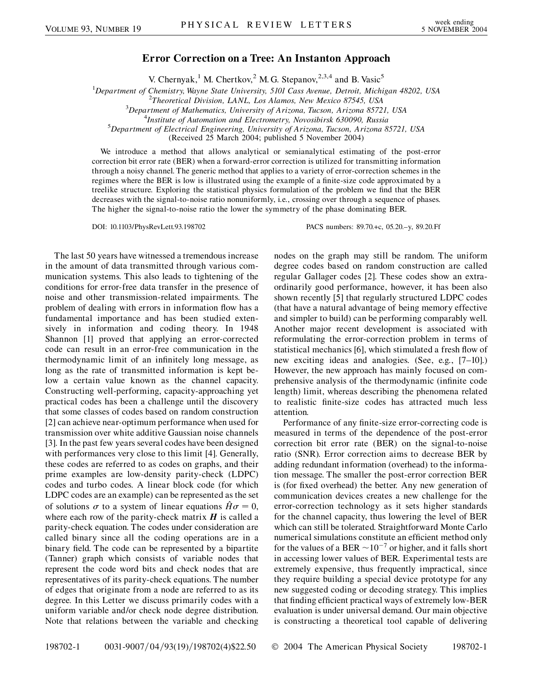## **Error Correction on a Tree: An Instanton Approach**

V. Chernyak,<sup>1</sup> M. Chertkov,<sup>2</sup> M. G. Stepanov,<sup>2,3,4</sup> and B. Vasic<sup>5</sup>

<sup>1</sup>Department of Chemistry, Wayne State University, 5101 Cass Avenue, Detroit, Michigan 48202, USA<br><sup>2</sup>Theoretical Division, JANI, Los Alamos, New Mexico 87545, USA

*Theoretical Division, LANL, Los Alamos, New Mexico 87545, USA* <sup>3</sup>

*Department of Mathematics, University of Arizona, Tucson, Arizona 85721, USA* <sup>4</sup>

<sup>4</sup>Institute of Automation and Electrometry, Novosibirsk 630090, Russia

*Department of Electrical Engineering, University of Arizona, Tucson, Arizona 85721, USA*

(Received 25 March 2004; published 5 November 2004)

We introduce a method that allows analytical or semianalytical estimating of the post-error correction bit error rate (BER) when a forward-error correction is utilized for transmitting information through a noisy channel. The generic method that applies to a variety of error-correction schemes in the regimes where the BER is low is illustrated using the example of a finite-size code approximated by a treelike structure. Exploring the statistical physics formulation of the problem we find that the BER decreases with the signal-to-noise ratio nonuniformly, i.e., crossing over through a sequence of phases. The higher the signal-to-noise ratio the lower the symmetry of the phase dominating BER.

DOI: 10.1103/PhysRevLett.93.198702 PACS numbers: 89.70.+c, 05.20.–y, 89.20.Ff

The last 50 years have witnessed a tremendous increase in the amount of data transmitted through various communication systems. This also leads to tightening of the conditions for error-free data transfer in the presence of noise and other transmission-related impairments. The problem of dealing with errors in information flow has a fundamental importance and has been studied extensively in information and coding theory. In 1948 Shannon [1] proved that applying an error-corrected code can result in an error-free communication in the thermodynamic limit of an infinitely long message, as long as the rate of transmitted information is kept below a certain value known as the channel capacity. Constructing well-performing, capacity-approaching yet practical codes has been a challenge until the discovery that some classes of codes based on random construction [2] can achieve near-optimum performance when used for transmission over white additive Gaussian noise channels [3]. In the past few years several codes have been designed with performances very close to this limit [4]. Generally, these codes are referred to as codes on graphs, and their prime examples are low-density parity-check (LDPC) codes and turbo codes. A linear block code (for which LDPC codes are an example) can be represented as the set of solutions  $\sigma$  to a system of linear equations  $H\sigma = 0$ , where each row of the parity-check matrix  $H$  is called a parity-check equation. The codes under consideration are called binary since all the coding operations are in a binary field. The code can be represented by a bipartite (Tanner) graph which consists of variable nodes that represent the code word bits and check nodes that are representatives of its parity-check equations. The number of edges that originate from a node are referred to as its degree. In this Letter we discuss primarily codes with a uniform variable and/or check node degree distribution. Note that relations between the variable and checking

nodes on the graph may still be random. The uniform degree codes based on random construction are called regular Gallager codes [2]. These codes show an extraordinarily good performance, however, it has been also shown recently [5] that regularly structured LDPC codes (that have a natural advantage of being memory effective and simpler to build) can be performing comparably well. Another major recent development is associated with reformulating the error-correction problem in terms of statistical mechanics [6], which stimulated a fresh flow of new exciting ideas and analogies. (See, e.g., [7–10].) However, the new approach has mainly focused on comprehensive analysis of the thermodynamic (infinite code length) limit, whereas describing the phenomena related to realistic finite-size codes has attracted much less attention.

Performance of any finite-size error-correcting code is measured in terms of the dependence of the post-error correction bit error rate (BER) on the signal-to-noise ratio (SNR). Error correction aims to decrease BER by adding redundant information (overhead) to the information message. The smaller the post-error correction BER is (for fixed overhead) the better. Any new generation of communication devices creates a new challenge for the error-correction technology as it sets higher standards for the channel capacity, thus lowering the level of BER which can still be tolerated. Straightforward Monte Carlo numerical simulations constitute an efficient method only for the values of a BER  $\sim$  10<sup>-7</sup> or higher, and it falls short in accessing lower values of BER. Experimental tests are extremely expensive, thus frequently impractical, since they require building a special device prototype for any new suggested coding or decoding strategy. This implies that finding efficient practical ways of extremely low-BER evaluation is under universal demand. Our main objective is constructing a theoretical tool capable of delivering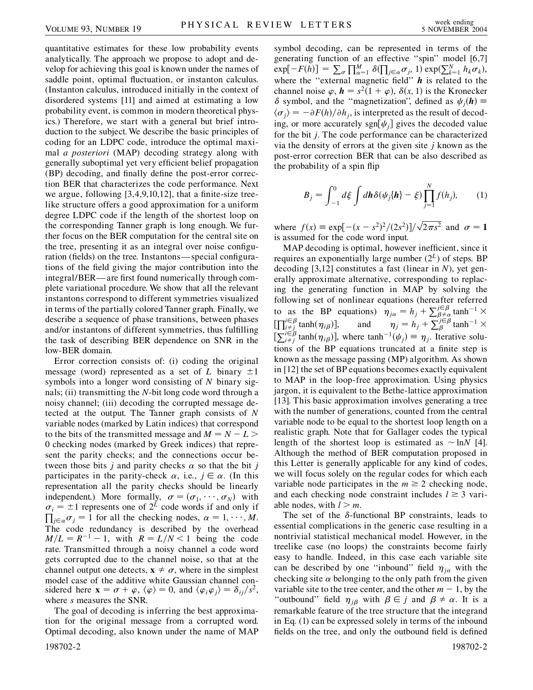quantitative estimates for these low probability events analytically. The approach we propose to adopt and develop for achieving this goal is known under the names of saddle point, optimal fluctuation, or instanton calculus. (Instanton calculus, introduced initially in the context of disordered systems [11] and aimed at estimating a low probability event, is common in modern theoretical physics.) Therefore, we start with a general but brief introduction to the subject. We describe the basic principles of coding for an LDPC code, introduce the optimal maximal *a posteriori* (MAP) decoding strategy along with generally suboptimal yet very efficient belief propagation (BP) decoding, and finally define the post-error correction BER that characterizes the code performance. Next we argue, following [3,4,9,10,12], that a finite-size treelike structure offers a good approximation for a uniform degree LDPC code if the length of the shortest loop on the corresponding Tanner graph is long enough. We further focus on the BER computation for the central site on the tree, presenting it as an integral over noise configuration (fields) on the tree. Instantons—special configurations of the field giving the major contribution into the integral/BER—are first found numerically through complete variational procedure. We show that all the relevant instantons correspond to different symmetries visualized in terms of the partially colored Tanner graph. Finally, we describe a sequence of phase transitions, between phases and/or instantons of different symmetries, thus fulfilling the task of describing BER dependence on SNR in the low-BER domain.

Error correction consists of: (i) coding the original message (word) represented as a set of *L* binary  $\pm 1$ symbols into a longer word consisting of *N* binary signals; (ii) transmitting the *N*-bit long code word through a noisy channel; (iii) decoding the corrupted message detected at the output. The Tanner graph consists of *N* variable nodes (marked by Latin indices) that correspond to the bits of the transmitted message and  $M = N - L$ 0 checking nodes (marked by Greek indices) that represent the parity checks; and the connections occur between those bits *j* and parity checks  $\alpha$  so that the bit *j* participates in the parity-check  $\alpha$ , i.e.,  $j \in \alpha$ . (In this representation all the parity checks should be linearly independent.) More formally,  $\sigma = (\sigma_1, \dots, \sigma_N)$  with  $\sigma_i = \pm 1$  represents one of  $2^L$  code words if and only if  $\prod_{j\in\alpha}\sigma_j = 1$  for all the checking nodes,  $\alpha = 1, \dots, M$ . The code redundancy is described by the overhead  $M/L = R^{-1} - 1$ , with  $R = L/N < 1$  being the code rate. Transmitted through a noisy channel a code word gets corrupted due to the channel noise, so that at the channel output one detects,  $x \neq \sigma$ , where in the simplest model case of the additive white Gaussian channel considered here  $\mathbf{x} = \sigma + \varphi$ ,  $\langle \varphi \rangle = 0$ , and  $\langle \varphi_i \varphi_j \rangle = \delta_{ij}/s^2$ , where *s* measures the SNR.

The goal of decoding is inferring the best approximation for the original message from a corrupted word. Optimal decoding, also known under the name of MAP symbol decoding, can be represented in terms of the generating function of an effective "spin" model [6,7]<br>  $\exp[-F(h)] = \sum_{\sigma} \prod_{\alpha=1}^{M} \delta(\prod_{j \in \alpha} \sigma_j, 1) \exp(\sum_{k=1}^{N} h_k \sigma_k),$ where the ''external magnetic field'' *h* is related to the channel noise  $\varphi$ ,  $\mathbf{h} = s^2(1 + \varphi)$ ,  $\delta(x, 1)$  is the Kronecker  $\delta$  symbol, and the "magnetization", defined as  $\psi_i(\mathbf{h}) =$  $\langle \sigma_i \rangle = -\partial F(h)/\partial h_i$ , is interpreted as the result of decoding, or more accurately sgn[ $\psi_j$ ] gives the decoded value for the bit *j*. The code performance can be characterized via the density of errors at the given site *j* known as the post-error correction BER that can be also described as the probability of a spin flip

$$
B_j = \int_{-1}^0 d\xi \int d\mathbf{h} \delta(\psi_j \{\mathbf{h}\} - \xi) \prod_{j=1}^N f(h_j), \qquad (1)
$$

where  $f(x) = \exp[-(x - s^2)^2/(2s^2)]/\sqrt{2\pi s^2}$  and  $\sigma = 1$ is assumed for the code word input.

MAP decoding is optimal, however inefficient, since it requires an exponentially large number  $(2^L)$  of steps. BP decoding [3,12] constitutes a fast (linear in *N*), yet generally approximate alternative, corresponding to replacing the generating function in MAP by solving the following set of nonlinear equations (hereafter referred to as the BP equations)  $\eta_{j\alpha} = h_j + \sum_{\beta \neq \alpha}^{j \in \beta} \tanh^{-1} \times$  $\left[\prod_{i \neq j}^{i \in \beta} \tanh(\eta_{i\beta})\right]$ , and  $\eta_j = h_j + \sum_{\beta}^{j \in \beta} \tanh^{-1} \times$  $\sum_{i \neq j}^{i \in B} \tanh(\eta_{i\beta})$ , where  $\tanh^{-1}(\psi_j) \equiv \eta_j$ . Iterative solutions of the BP equations truncated at a finite step is known as the message passing (MP) algorithm. As shown in [12] the set of BP equations becomes exactly equivalent to MAP in the loop-free approximation. Using physics jargon, it is equivalent to the Bethe-lattice approximation [13]. This basic approximation involves generating a tree with the number of generations, counted from the central variable node to be equal to the shortest loop length on a realistic graph. Note that for Gallager codes the typical length of the shortest loop is estimated as  $\sim$  ln*N* [4]. Although the method of BER computation proposed in this Letter is generally applicable for any kind of codes, we will focus solely on the regular codes for which each variable node participates in the  $m \geq 2$  checking node, and each checking node constraint includes  $l \geq 3$  variable nodes, with  $l > m$ .

The set of the  $\delta$ -functional BP constraints, leads to essential complications in the generic case resulting in a nontrivial statistical mechanical model. However, in the treelike case (no loops) the constraints become fairly easy to handle. Indeed, in this case each variable site can be described by one "inbound" field  $\eta_{i\alpha}$  with the checking site  $\alpha$  belonging to the only path from the given variable site to the tree center, and the other  $m - 1$ , by the "outbound" field  $\eta_{i\beta}$  with  $\beta \in j$  and  $\beta \neq \alpha$ . It is a remarkable feature of the tree structure that the integrand in Eq. (1) can be expressed solely in terms of the inbound fields on the tree, and only the outbound field is defined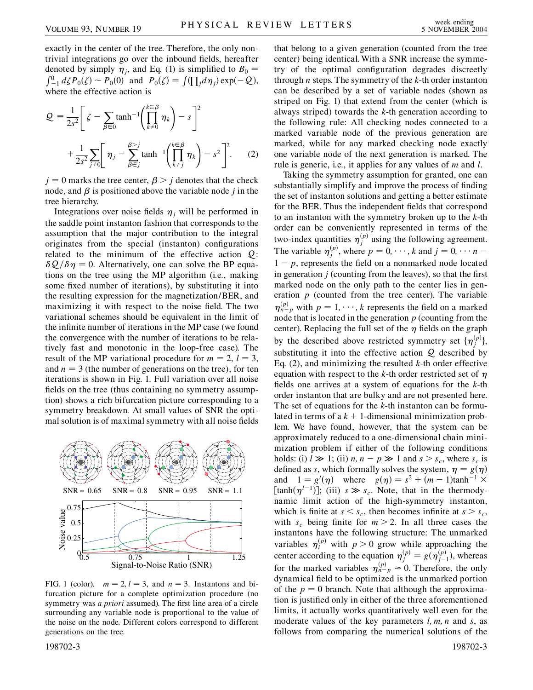exactly in the center of the tree. Therefore, the only nontrivial integrations go over the inbound fields, hereafter denoted by simply  $\eta_i$ , and Eq. (1) is simplified to  $B_0$  =  $\int_{-1}^{0} d\zeta P_0(\zeta) \sim P_0(0)$  and  $P_0(\zeta) = \int_{-1}^{0} (\prod_j d\eta_j) \exp(-\mathcal{Q}),$ where the effective action is

$$
Q = \frac{1}{2s^2} \left[ \zeta - \sum_{\beta \in 0} \tanh^{-1} \left( \prod_{k \neq 0}^{k \in \beta} \eta_k \right) - s \right]^2
$$

$$
+ \frac{1}{2s^2} \sum_{j \neq 0} \left[ \eta_j - \sum_{\beta \in j}^{\beta > j} \tanh^{-1} \left( \prod_{k \neq j}^{k \in \beta} \eta_k \right) - s^2 \right]^2. \tag{2}
$$

 $j = 0$  marks the tree center,  $\beta > j$  denotes that the check node, and  $\beta$  is positioned above the variable node *j* in the tree hierarchy.

Integrations over noise fields  $\eta_i$  will be performed in the saddle point instanton fashion that corresponds to the assumption that the major contribution to the integral originates from the special (instanton) configurations related to the minimum of the effective action  $Q$ :  $\delta Q/\delta \eta = 0$ . Alternatively, one can solve the BP equations on the tree using the MP algorithm (i.e., making some fixed number of iterations), by substituting it into the resulting expression for the magnetization/BER, and maximizing it with respect to the noise field. The two variational schemes should be equivalent in the limit of the infinite number of iterations in the MP case (we found the convergence with the number of iterations to be relatively fast and monotonic in the loop-free case). The result of the MP variational procedure for  $m = 2$ ,  $l = 3$ , and  $n = 3$  (the number of generations on the tree), for ten iterations is shown in Fig. 1. Full variation over all noise fields on the tree (thus containing no symmetry assumption) shows a rich bifurcation picture corresponding to a symmetry breakdown. At small values of SNR the optimal solution is of maximal symmetry with all noise fields



FIG. 1 (color).  $m = 2, l = 3$ , and  $n = 3$ . Instantons and bifurcation picture for a complete optimization procedure (no symmetry was *a priori* assumed). The first line area of a circle surrounding any variable node is proportional to the value of the noise on the node. Different colors correspond to different generations on the tree.

that belong to a given generation (counted from the tree center) being identical. With a SNR increase the symmetry of the optimal configuration degrades discreetly through *n* steps. The symmetry of the *k*-th order instanton can be described by a set of variable nodes (shown as striped on Fig. 1) that extend from the center (which is always striped) towards the *k*-th generation according to the following rule: All checking nodes connected to a marked variable node of the previous generation are marked, while for any marked checking node exactly one variable node of the next generation is marked. The rule is generic, i.e., it applies for any values of *m* and *l*.

Taking the symmetry assumption for granted, one can substantially simplify and improve the process of finding the set of instanton solutions and getting a better estimate for the BER. Thus the independent fields that correspond to an instanton with the symmetry broken up to the *k*-th order can be conveniently represented in terms of the two-index quantities  $\eta_j^{(p)}$  using the following agreement. The variable  $\eta_j^{(p)}$ , where  $p = 0, \dots, k$  and  $j = 0, \dots, n - 1$  $1 - p$ , represents the field on a nonmarked node located in generation  $j$  (counting from the leaves), so that the first marked node on the only path to the center lies in generation *p* (counted from the tree center). The variable  $\eta_{n-p}^{(p)}$  with  $p = 1, \dots, k$  represents the field on a marked node that is located in the generation *p* (counting from the center). Replacing the full set of the  $\eta$  fields on the graph by the described above restricted symmetry set  $\{\eta_j^{(p)}\},$ substituting it into the effective action Q described by Eq. (2), and minimizing the resulted *k*-th order effective equation with respect to the  $k$ -th order restricted set of  $\eta$ fields one arrives at a system of equations for the *k*-th order instanton that are bulky and are not presented here. The set of equations for the *k*-th instanton can be formulated in terms of  $a k + 1$ -dimensional minimization problem. We have found, however, that the system can be approximately reduced to a one-dimensional chain minimization problem if either of the following conditions holds: (i)  $l \gg 1$ ; (ii)  $n, n - p \gg 1$  and  $s > s_c$ , where  $s_c$  is defined as *s*, which formally solves the system,  $\eta = g(\eta)$ and  $1 = g'(\eta)$  where  $g(\eta) = s^2 + (m-1)\tanh^{-1} x$  $[\tanh(\eta^{l-1})]$ ; (iii)  $s \gg s_c$ . Note, that in the thermodynamic limit action of the high-symmetry instanton, which is finite at  $s < s_c$ , then becomes infinite at  $s > s_c$ , with  $s_c$  being finite for  $m > 2$ . In all three cases the instantons have the following structure: The unmarked variables  $\eta_i^{(p)}$  with  $p > 0$  grow while approaching the center according to the equation  $\eta_j^{(p)} = g(\eta_{j-1}^{(p)})$ , whereas for the marked variables  $\eta_{n-p}^{(p)} \approx 0$ . Therefore, the only dynamical field to be optimized is the unmarked portion of the  $p = 0$  branch. Note that although the approximation is justified only in either of the three aforementioned limits, it actually works quantitatively well even for the moderate values of the key parameters *l; m; n* and *s*, as follows from comparing the numerical solutions of the